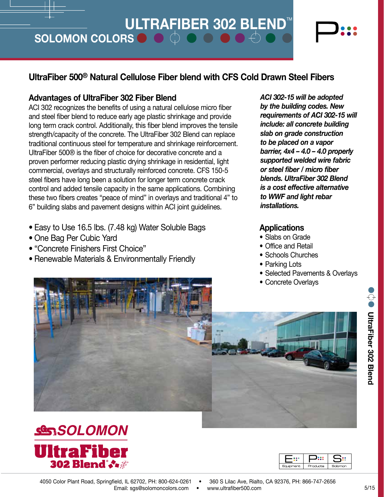# **ULTRAFIBER 302 BLEND™**

SOLOMON COLORS  $\bullet$   $\bullet$   $\bullet$   $\bullet$   $\bullet$   $\bullet$ 

## 554 **UltraFiber 500® Natural Cellulose Fiber blend with CFS Cold Drawn Steel Fibers**

### **Advantages of UltraFiber 302 Fiber Blend**

From such assessmess and sending or doing a natural condition more more inserting and steel fiber blend to reduce early age plastic shrinkage and provide UltraFiber 500® is the fiber of choice for decorative concrete and a ACI 302 recognizes the benefits of using a natural cellulose micro fiber long term crack control. Additionally, this fiber blend improves the tensile strength/capacity of the concrete. The UltraFiber 302 Blend can replace traditional continuous steel for temperature and shrinkage reinforcement. proven performer reducing plastic drying shrinkage in residential, light commercial, overlays and structurally reinforced concrete. CFS 150-5 steel fibers have long been a solution for longer term concrete crack control and added tensile capacity in the same applications. Combining these two fibers creates "peace of mind" in overlays and traditional 4" to 6" building slabs and pavement designs within ACI joint guidelines.

- Easy to Use 16.5 lbs. (7.48 kg) Water Soluble Bags
- One Bag Per Cubic Yard
- "Concrete Finishers First Choice"
- Renewable Materials & Environmentally Friendly



**SESSOLOMON UltraFiber**<br>302 Blend<sup>:</sup>



201

285

<sup>430</sup> <sup>432</sup>



575 *requirements of ACI 302-15 will*  364 202 *ACI 302-15 will be adopted by the building codes. New include: all concrete building slab on grade construction to be placed on a vapor barrier, 4x4 – 4.0 – 4.0 properly* 

<sup>430</sup> <sup>432</sup> *is a cost effective alternative supported welded wire fabric or steel fiber / micro fiber blends. UltraFiber 302 Blend to WWF and light rebar installations.*

#### **Applications**

- Slabs on Grade
- Office and Retail
- Schools Churches
- Parking Lots
- Selected Pavements & Overlays
- $\overline{a}$ • Concrete Overlays

4050 Color Plant Road, Springfield, IL 62702, PH: 800-624-0261 Email: sgs@solomoncolors.com • www.ultrafiber500.com

7475

**UltraFiber 302 Blend**

**O** UltraFiber 302 Blend